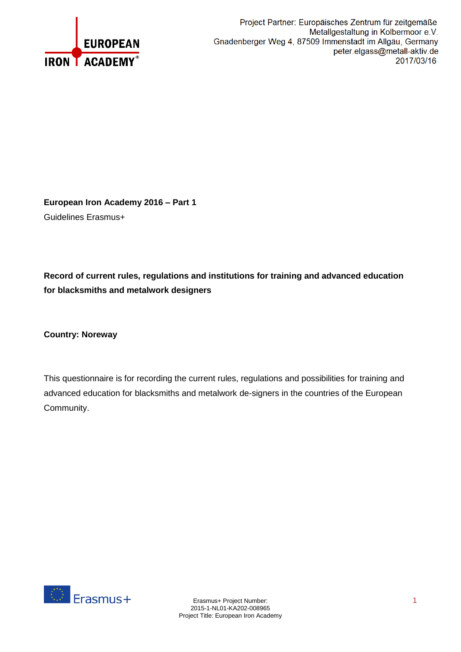

**European Iron Academy 2016 – Part 1** Guidelines Erasmus+

**Record of current rules, regulations and institutions for training and advanced education for blacksmiths and metalwork designers**

**Country: Noreway**

This questionnaire is for recording the current rules, regulations and possibilities for training and advanced education for blacksmiths and metalwork de-signers in the countries of the European Community.

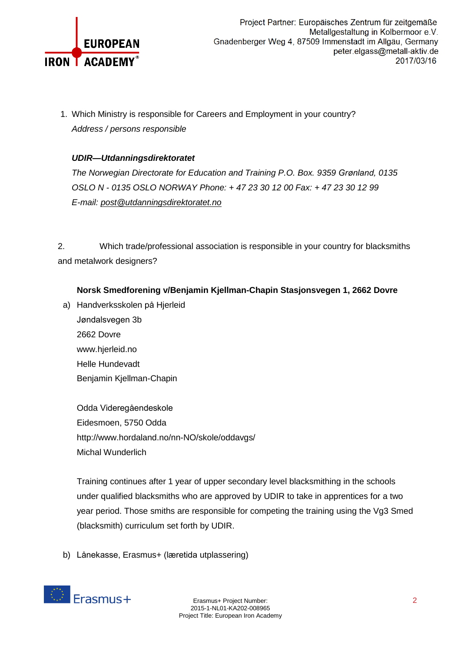

1. Which Ministry is responsible for Careers and Employment in your country? *Address / persons responsible* 

## *UDIR—Utdanningsdirektoratet*

*The Norwegian Directorate for Education and Training P.O. Box. 9359 Grønland, 0135 OSLO N - 0135 OSLO NORWAY Phone: + 47 23 30 12 00 Fax: + 47 23 30 12 99 E-mail: [post@utdanningsdirektoratet.no](mailto:post@utdanningsdirektoratet.no)*

2. Which trade/professional association is responsible in your country for blacksmiths and metalwork designers?

## **Norsk Smedforening v/Benjamin Kjellman-Chapin Stasjonsvegen 1, 2662 Dovre**

a) Handverksskolen på Hjerleid Jøndalsvegen 3b 2662 Dovre www.hjerleid.no Helle Hundevadt Benjamin Kjellman-Chapin

> Odda Videregåendeskole Eidesmoen, 5750 Odda http://www.hordaland.no/nn-NO/skole/oddavgs/ Michal Wunderlich

Training continues after 1 year of upper secondary level blacksmithing in the schools under qualified blacksmiths who are approved by UDIR to take in apprentices for a two year period. Those smiths are responsible for competing the training using the Vg3 Smed (blacksmith) curriculum set forth by UDIR.

b) Lånekasse, Erasmus+ (læretida utplassering)

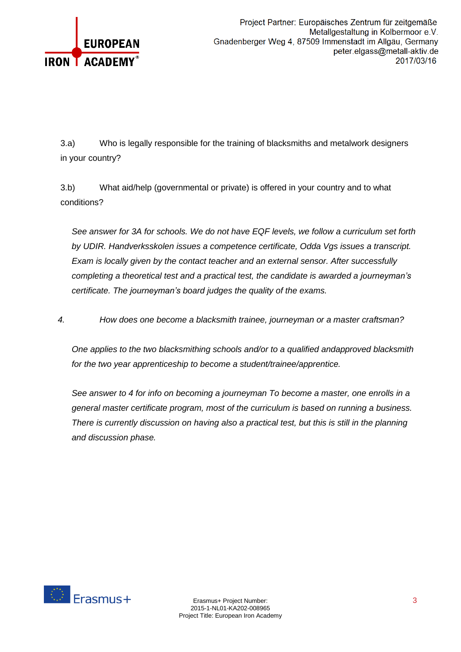

3.a) Who is legally responsible for the training of blacksmiths and metalwork designers in your country?

3.b) What aid/help (governmental or private) is offered in your country and to what conditions?

*See answer for 3A for schools. We do not have EQF levels, we follow a curriculum set forth by UDIR. Handverksskolen issues a competence certificate, Odda Vgs issues a transcript. Exam is locally given by the contact teacher and an external sensor. After successfully completing a theoretical test and a practical test, the candidate is awarded a journeyman's certificate. The journeyman's board judges the quality of the exams.*

*4. How does one become a blacksmith trainee, journeyman or a master craftsman?* 

*One applies to the two blacksmithing schools and/or to a qualified andapproved blacksmith for the two year apprenticeship to become a student/trainee/apprentice.*

*See answer to 4 for info on becoming a journeyman To become a master, one enrolls in a general master certificate program, most of the curriculum is based on running a business. There is currently discussion on having also a practical test, but this is still in the planning and discussion phase.*

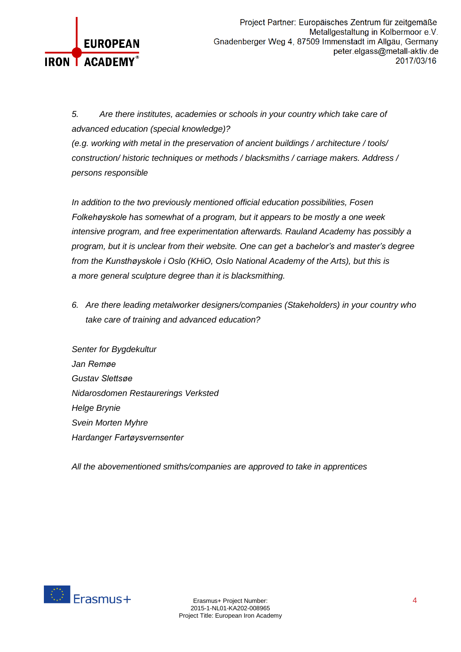

*5. Are there institutes, academies or schools in your country which take care of advanced education (special knowledge)?*

*(e.g. working with metal in the preservation of ancient buildings / architecture / tools/ construction/ historic techniques or methods / blacksmiths / carriage makers. Address / persons responsible*

*In addition to the two previously mentioned official education possibilities, Fosen Folkehøyskole has somewhat of a program, but it appears to be mostly a one week intensive program, and free experimentation afterwards. Rauland Academy has possibly a program, but it is unclear from their website. One can get a bachelor's and master's degree from the Kunsthøyskole i Oslo (KHiO, Oslo National Academy of the Arts), but this is a more general sculpture degree than it is blacksmithing.*

*6. Are there leading metalworker designers/companies (Stakeholders) in your country who take care of training and advanced education?*

*Senter for Bygdekultur Jan Remøe Gustav Slettsøe Nidarosdomen Restaurerings Verksted Helge Brynie Svein Morten Myhre Hardanger Fartøysvernsenter*

*All the abovementioned smiths/companies are approved to take in apprentices*